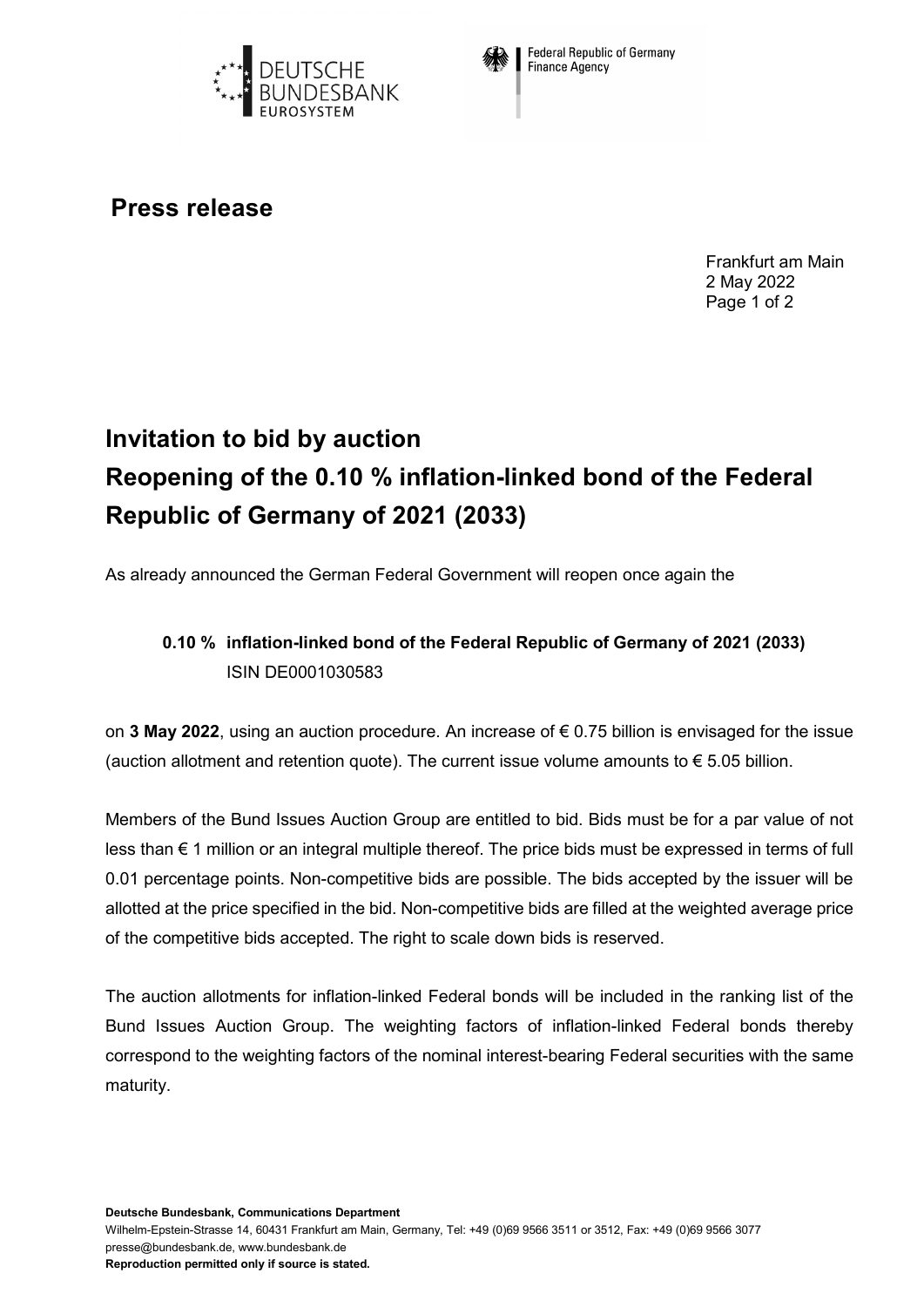



**Federal Republic of Germany** Finance Agency

## **Press release**

Frankfurt am Main 2 May 2022 Page 1 of 2

## **Invitation to bid by auction Reopening of the 0.10 % inflation-linked bond of the Federal Republic of Germany of 2021 (2033)**

As already announced the German Federal Government will reopen once again the

## **0.10 % inflation-linked bond of the Federal Republic of Germany of 2021 (2033)** ISIN DE0001030583

on **3 May 2022**, using an auction procedure. An increase of € 0.75 billion is envisaged for the issue (auction allotment and retention quote). The current issue volume amounts to  $\epsilon$  5.05 billion.

Members of the Bund Issues Auction Group are entitled to bid. Bids must be for a par value of not less than € 1 million or an integral multiple thereof. The price bids must be expressed in terms of full 0.01 percentage points. Non-competitive bids are possible. The bids accepted by the issuer will be allotted at the price specified in the bid. Non-competitive bids are filled at the weighted average price of the competitive bids accepted. The right to scale down bids is reserved.

The auction allotments for inflation-linked Federal bonds will be included in the ranking list of the Bund Issues Auction Group. The weighting factors of inflation-linked Federal bonds thereby correspond to the weighting factors of the nominal interest-bearing Federal securities with the same maturity.